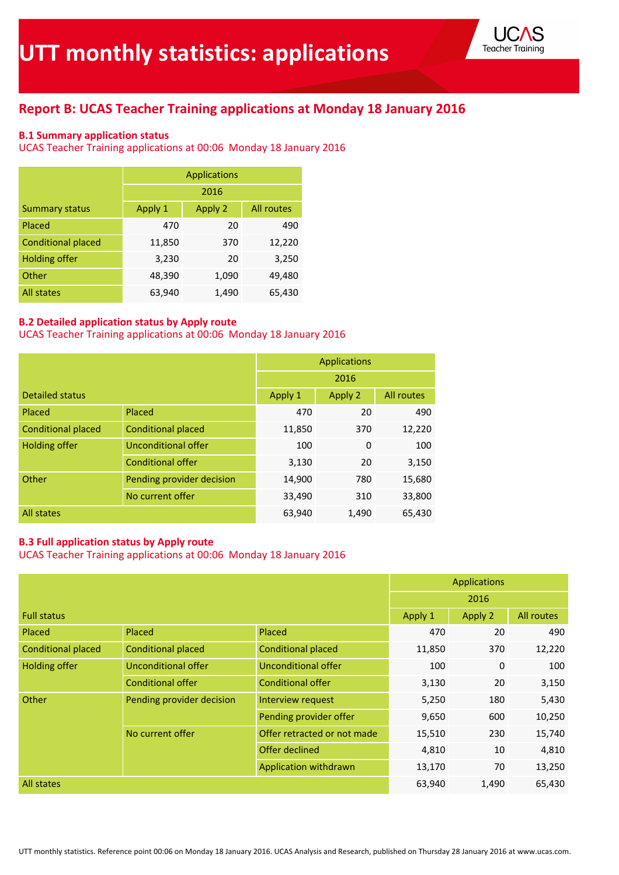

# **Report B: UCAS Teacher Training applications at Monday 18 January 2016**

### **B.1 Summary application status**

UCAS Teacher Training applications at 00:06 Monday 18 January 2016

|                           |         | <b>Applications</b> |            |  |  |  |  |
|---------------------------|---------|---------------------|------------|--|--|--|--|
|                           | 2016    |                     |            |  |  |  |  |
| <b>Summary status</b>     | Apply 1 | Apply 2             | All routes |  |  |  |  |
| Placed                    | 470     | 20                  | 490        |  |  |  |  |
| <b>Conditional placed</b> | 11,850  | 370                 | 12,220     |  |  |  |  |
| <b>Holding offer</b>      | 3,230   | 20                  | 3,250      |  |  |  |  |
| Other                     | 48,390  | 1,090               | 49,480     |  |  |  |  |
| <b>All states</b>         | 63,940  | 1,490               | 65,430     |  |  |  |  |

### **B.2 Detailed application status by Apply route**

UCAS Teacher Training applications at 00:06 Monday 18 January 2016

|                           |                           |         | <b>Applications</b> |        |
|---------------------------|---------------------------|---------|---------------------|--------|
|                           | 2016                      |         |                     |        |
| <b>Detailed status</b>    | Apply 1                   | Apply 2 | All routes          |        |
| Placed                    | Placed                    | 470     | 20                  | 490    |
| <b>Conditional placed</b> | <b>Conditional placed</b> | 11,850  | 370                 | 12,220 |
| <b>Holding offer</b>      | Unconditional offer       | 100     | $\Omega$            | 100    |
|                           | <b>Conditional offer</b>  | 3,130   | 20                  | 3,150  |
| Other                     | Pending provider decision | 14,900  | 780                 | 15,680 |
|                           | No current offer          | 33,490  | 310                 | 33,800 |
| All states                |                           | 63,940  | 1,490               | 65,430 |

### **B.3 Full application status by Apply route**

|                           |                           |                             |         | <b>Applications</b> |            |
|---------------------------|---------------------------|-----------------------------|---------|---------------------|------------|
|                           |                           |                             |         | 2016                |            |
| <b>Full status</b>        |                           |                             | Apply 1 | Apply 2             | All routes |
| Placed                    | Placed                    | Placed                      | 470     | 20                  | 490        |
| <b>Conditional placed</b> | <b>Conditional placed</b> | <b>Conditional placed</b>   | 11,850  | 370                 | 12,220     |
| <b>Holding offer</b>      | Unconditional offer       | Unconditional offer         | 100     | 0                   | 100        |
|                           | <b>Conditional offer</b>  | <b>Conditional offer</b>    | 3,130   | 20                  | 3,150      |
| Other                     | Pending provider decision | Interview request           | 5,250   | 180                 | 5,430      |
|                           |                           | Pending provider offer      | 9,650   | 600                 | 10,250     |
|                           | No current offer          | Offer retracted or not made | 15,510  | 230                 | 15,740     |
|                           |                           | Offer declined              | 4,810   | 10                  | 4,810      |
|                           |                           | Application withdrawn       | 13,170  | 70                  | 13,250     |
| <b>All states</b>         |                           |                             | 63,940  | 1,490               | 65,430     |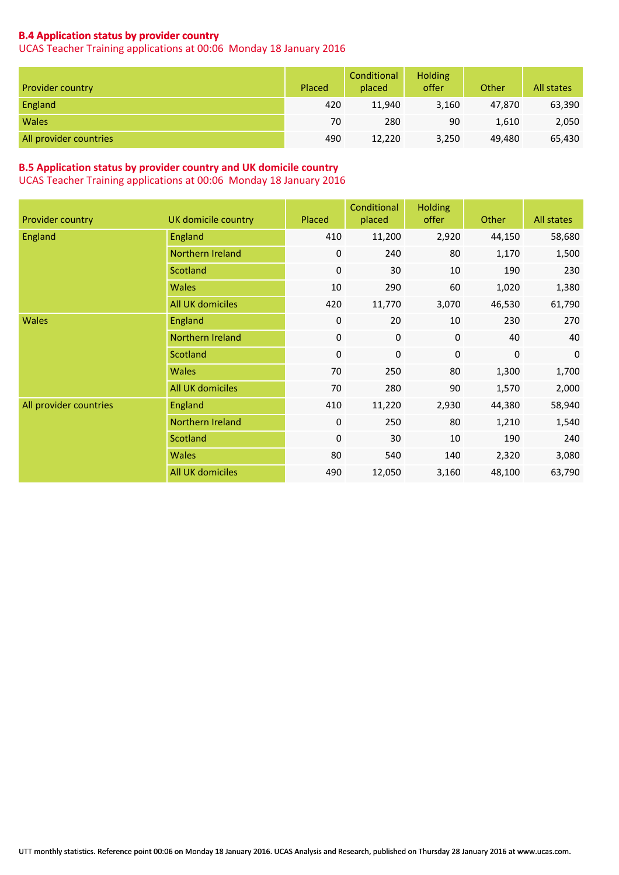### **B.4 Application status by provider country**

UCAS Teacher Training applications at 00:06 Monday 18 January 2016

| <b>Provider country</b> | Placed | Conditional<br>placed | <b>Holding</b><br>offer | Other  | All states |
|-------------------------|--------|-----------------------|-------------------------|--------|------------|
| England                 | 420    | 11.940                | 3,160                   | 47.870 | 63,390     |
| <b>Wales</b>            | 70     | 280                   | 90                      | 1,610  | 2,050      |
| All provider countries  | 490    | 12,220                | 3,250                   | 49,480 | 65,430     |

### **B.5 Application status by provider country and UK domicile country**

| Provider country       | <b>UK</b> domicile country | Placed           | Conditional<br>placed | <b>Holding</b><br>offer | Other  | All states  |
|------------------------|----------------------------|------------------|-----------------------|-------------------------|--------|-------------|
| <b>England</b>         | England                    | 410              | 11,200                | 2,920                   | 44,150 | 58,680      |
|                        | Northern Ireland           | 0                | 240                   | 80                      | 1,170  | 1,500       |
|                        | Scotland                   | $\boldsymbol{0}$ | 30                    | 10                      | 190    | 230         |
|                        | Wales                      | 10               | 290                   | 60                      | 1,020  | 1,380       |
|                        | All UK domiciles           | 420              | 11,770                | 3,070                   | 46,530 | 61,790      |
| <b>Wales</b>           | England                    | 0                | 20                    | 10                      | 230    | 270         |
|                        | Northern Ireland           | $\boldsymbol{0}$ | $\pmb{0}$             | 0                       | 40     | 40          |
|                        | Scotland                   | $\mathbf 0$      | $\pmb{0}$             | 0                       | 0      | $\mathbf 0$ |
|                        | Wales                      | 70               | 250                   | 80                      | 1,300  | 1,700       |
|                        | All UK domiciles           | 70               | 280                   | 90                      | 1,570  | 2,000       |
| All provider countries | England                    | 410              | 11,220                | 2,930                   | 44,380 | 58,940      |
|                        | Northern Ireland           | 0                | 250                   | 80                      | 1,210  | 1,540       |
|                        | Scotland                   | 0                | 30                    | 10                      | 190    | 240         |
|                        | Wales                      | 80               | 540                   | 140                     | 2,320  | 3,080       |
|                        | All UK domiciles           | 490              | 12,050                | 3,160                   | 48,100 | 63,790      |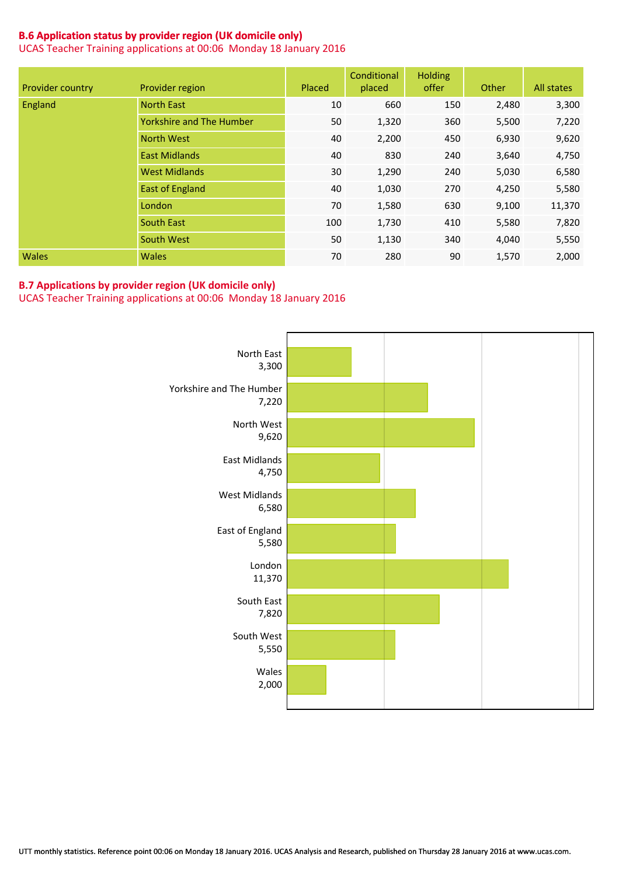### **B.6 Application status by provider region (UK domicile only)**

UCAS Teacher Training applications at 00:06 Monday 18 January 2016

| Provider country | Provider region                 | Placed | Conditional<br>placed | <b>Holding</b><br>offer | Other | All states |
|------------------|---------------------------------|--------|-----------------------|-------------------------|-------|------------|
| England          | <b>North East</b>               | 10     | 660                   | 150                     | 2,480 | 3,300      |
|                  | <b>Yorkshire and The Humber</b> | 50     | 1,320                 | 360                     | 5,500 | 7,220      |
|                  | <b>North West</b>               | 40     | 2,200                 | 450                     | 6,930 | 9,620      |
|                  | <b>East Midlands</b>            | 40     | 830                   | 240                     | 3,640 | 4,750      |
|                  | <b>West Midlands</b>            | 30     | 1,290                 | 240                     | 5,030 | 6,580      |
|                  | <b>East of England</b>          | 40     | 1,030                 | 270                     | 4,250 | 5,580      |
|                  | London                          | 70     | 1,580                 | 630                     | 9,100 | 11,370     |
|                  | <b>South East</b>               | 100    | 1,730                 | 410                     | 5,580 | 7,820      |
|                  | South West                      | 50     | 1,130                 | 340                     | 4,040 | 5,550      |
| <b>Wales</b>     | <b>Wales</b>                    | 70     | 280                   | 90                      | 1,570 | 2,000      |

#### **B.7 Applications by provider region (UK domicile only)**

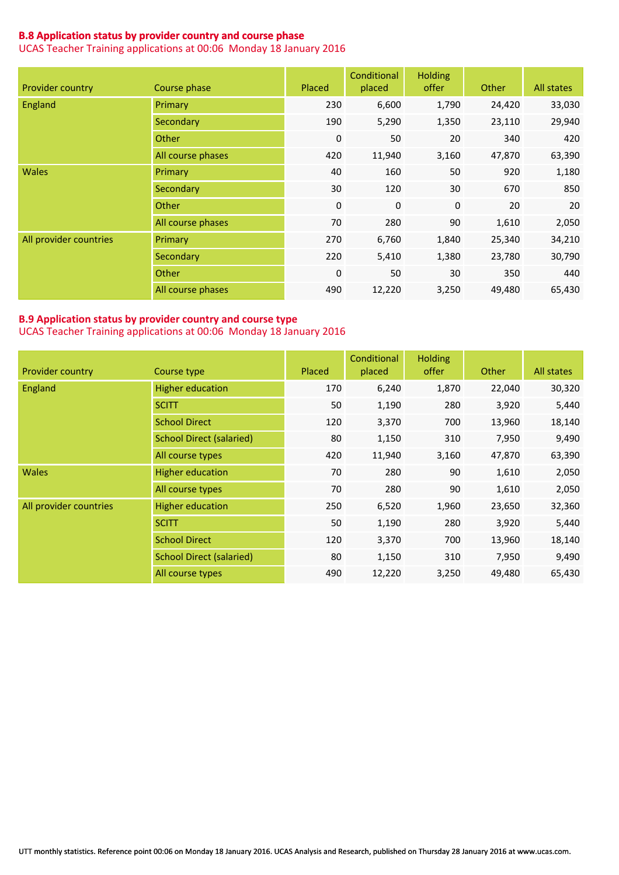### **B.8 Application status by provider country and course phase**

UCAS Teacher Training applications at 00:06 Monday 18 January 2016

| Provider country       | Course phase      | Placed      | Conditional<br>placed | <b>Holding</b><br>offer | Other  | All states |
|------------------------|-------------------|-------------|-----------------------|-------------------------|--------|------------|
| England                | Primary           | 230         | 6,600                 | 1,790                   | 24,420 | 33,030     |
|                        | Secondary         | 190         | 5,290                 | 1,350                   | 23,110 | 29,940     |
|                        | Other             | $\pmb{0}$   | 50                    | 20                      | 340    | 420        |
|                        | All course phases | 420         | 11,940                | 3,160                   | 47,870 | 63,390     |
| <b>Wales</b>           | Primary           | 40          | 160                   | 50                      | 920    | 1,180      |
|                        | Secondary         | 30          | 120                   | 30                      | 670    | 850        |
|                        | Other             | $\mathbf 0$ | $\mathbf{0}$          | $\mathbf{0}$            | 20     | 20         |
|                        | All course phases | 70          | 280                   | 90                      | 1,610  | 2,050      |
| All provider countries | Primary           | 270         | 6,760                 | 1,840                   | 25,340 | 34,210     |
|                        | Secondary         | 220         | 5,410                 | 1,380                   | 23,780 | 30,790     |
|                        | Other             | $\mathbf 0$ | 50                    | 30                      | 350    | 440        |
|                        | All course phases | 490         | 12,220                | 3,250                   | 49,480 | 65,430     |

#### **B.9 Application status by provider country and course type** UCAS Teacher Training applications at 00:06 Monday 18 January 2016

| Provider country       | Course type                     | Placed | Conditional<br>placed | <b>Holding</b><br>offer | <b>Other</b> | All states |
|------------------------|---------------------------------|--------|-----------------------|-------------------------|--------------|------------|
| <b>England</b>         | <b>Higher education</b>         | 170    | 6,240                 | 1,870                   | 22,040       | 30,320     |
|                        | <b>SCITT</b>                    | 50     | 1,190                 | 280                     | 3,920        | 5,440      |
|                        | <b>School Direct</b>            | 120    | 3,370                 | 700                     | 13,960       | 18,140     |
|                        | <b>School Direct (salaried)</b> | 80     | 1,150                 | 310                     | 7,950        | 9,490      |
|                        | All course types                | 420    | 11,940                | 3,160                   | 47,870       | 63,390     |
| <b>Wales</b>           | <b>Higher education</b>         | 70     | 280                   | 90                      | 1,610        | 2,050      |
|                        | All course types                | 70     | 280                   | 90                      | 1,610        | 2,050      |
| All provider countries | <b>Higher education</b>         | 250    | 6,520                 | 1,960                   | 23,650       | 32,360     |
|                        | <b>SCITT</b>                    | 50     | 1,190                 | 280                     | 3,920        | 5,440      |
|                        | <b>School Direct</b>            | 120    | 3,370                 | 700                     | 13,960       | 18,140     |
|                        | <b>School Direct (salaried)</b> | 80     | 1,150                 | 310                     | 7,950        | 9,490      |
|                        | All course types                | 490    | 12,220                | 3,250                   | 49,480       | 65,430     |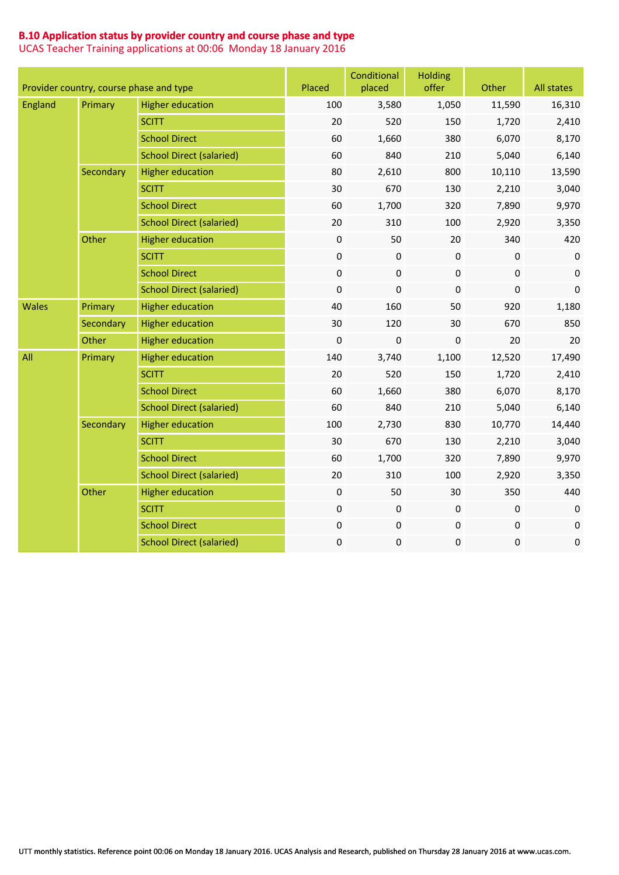### **B.10 Application status by provider country and course phase and type**

|                | Provider country, course phase and type |                                 | Placed           | Conditional<br>placed | <b>Holding</b><br>offer | Other            | All states   |
|----------------|-----------------------------------------|---------------------------------|------------------|-----------------------|-------------------------|------------------|--------------|
| <b>England</b> | Primary                                 | <b>Higher education</b>         | 100              | 3,580                 | 1,050                   | 11,590           | 16,310       |
|                |                                         | <b>SCITT</b>                    | 20               | 520                   | 150                     | 1,720            | 2,410        |
|                |                                         | <b>School Direct</b>            | 60               | 1,660                 | 380                     | 6,070            | 8,170        |
|                |                                         | <b>School Direct (salaried)</b> | 60               | 840                   | 210                     | 5,040            | 6,140        |
|                | Secondary                               | <b>Higher education</b>         | 80               | 2,610                 | 800                     | 10,110           | 13,590       |
|                |                                         | <b>SCITT</b>                    | 30               | 670                   | 130                     | 2,210            | 3,040        |
|                |                                         | <b>School Direct</b>            | 60               | 1,700                 | 320                     | 7,890            | 9,970        |
|                |                                         | <b>School Direct (salaried)</b> | 20               | 310                   | 100                     | 2,920            | 3,350        |
|                | Other                                   | <b>Higher education</b>         | $\boldsymbol{0}$ | 50                    | 20                      | 340              | 420          |
|                |                                         | <b>SCITT</b>                    | 0                | 0                     | $\pmb{0}$               | $\boldsymbol{0}$ | $\mathbf 0$  |
|                |                                         | <b>School Direct</b>            | $\boldsymbol{0}$ | $\pmb{0}$             | $\pmb{0}$               | $\boldsymbol{0}$ | $\mathbf{0}$ |
|                |                                         | <b>School Direct (salaried)</b> | $\boldsymbol{0}$ | $\pmb{0}$             | 0                       | 0                | $\mathbf 0$  |
| <b>Wales</b>   | Primary                                 | <b>Higher education</b>         | 40               | 160                   | 50                      | 920              | 1,180        |
|                | Secondary                               | <b>Higher education</b>         | 30               | 120                   | 30                      | 670              | 850          |
|                | Other                                   | <b>Higher education</b>         | $\mathbf 0$      | 0                     | 0                       | 20               | 20           |
| All            | Primary                                 | <b>Higher education</b>         | 140              | 3,740                 | 1,100                   | 12,520           | 17,490       |
|                |                                         | <b>SCITT</b>                    | 20               | 520                   | 150                     | 1,720            | 2,410        |
|                |                                         | <b>School Direct</b>            | 60               | 1,660                 | 380                     | 6,070            | 8,170        |
|                |                                         | <b>School Direct (salaried)</b> | 60               | 840                   | 210                     | 5,040            | 6,140        |
|                | Secondary                               | <b>Higher education</b>         | 100              | 2,730                 | 830                     | 10,770           | 14,440       |
|                |                                         | <b>SCITT</b>                    | 30               | 670                   | 130                     | 2,210            | 3,040        |
|                |                                         | <b>School Direct</b>            | 60               | 1,700                 | 320                     | 7,890            | 9,970        |
|                |                                         | <b>School Direct (salaried)</b> | 20               | 310                   | 100                     | 2,920            | 3,350        |
|                | Other                                   | <b>Higher education</b>         | $\boldsymbol{0}$ | 50                    | 30                      | 350              | 440          |
|                |                                         | <b>SCITT</b>                    | 0                | 0                     | 0                       | $\pmb{0}$        | 0            |
|                |                                         | <b>School Direct</b>            | 0                | $\pmb{0}$             | 0                       | 0                | $\mathbf 0$  |
|                |                                         | <b>School Direct (salaried)</b> | $\pmb{0}$        | $\pmb{0}$             | 0                       | 0                | $\pmb{0}$    |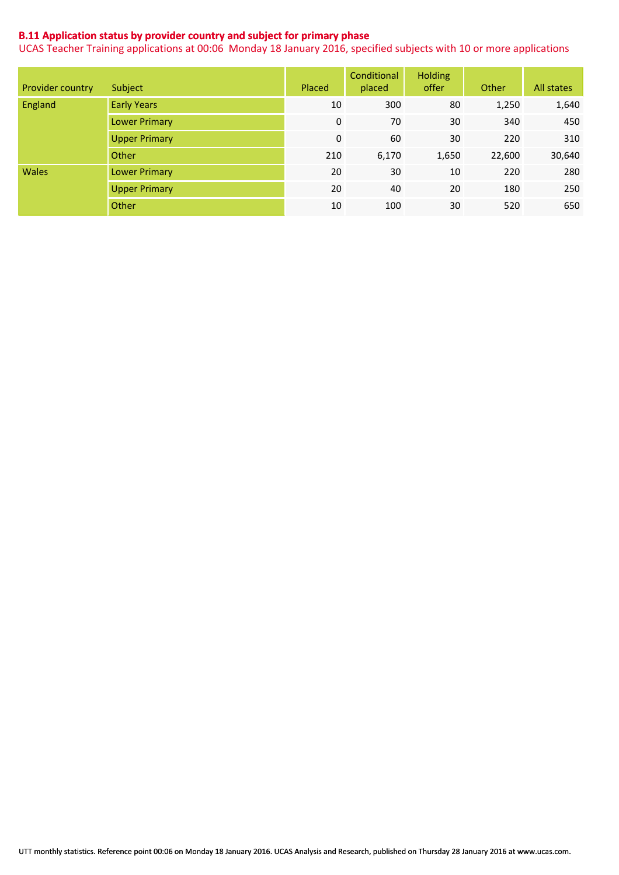### **B.11 Application status by provider country and subject for primary phase**

|                  |                      |        | Conditional | <b>Holding</b> |        |            |
|------------------|----------------------|--------|-------------|----------------|--------|------------|
| Provider country | Subject              | Placed | placed      | offer          | Other  | All states |
| England          | <b>Early Years</b>   | 10     | 300         | 80             | 1,250  | 1,640      |
|                  | <b>Lower Primary</b> | 0      | 70          | 30             | 340    | 450        |
|                  | <b>Upper Primary</b> | 0      | 60          | 30             | 220    | 310        |
|                  | Other                | 210    | 6,170       | 1,650          | 22,600 | 30,640     |
| <b>Wales</b>     | <b>Lower Primary</b> | 20     | 30          | 10             | 220    | 280        |
|                  | <b>Upper Primary</b> | 20     | 40          | 20             | 180    | 250        |
|                  | Other                | 10     | 100         | 30             | 520    | 650        |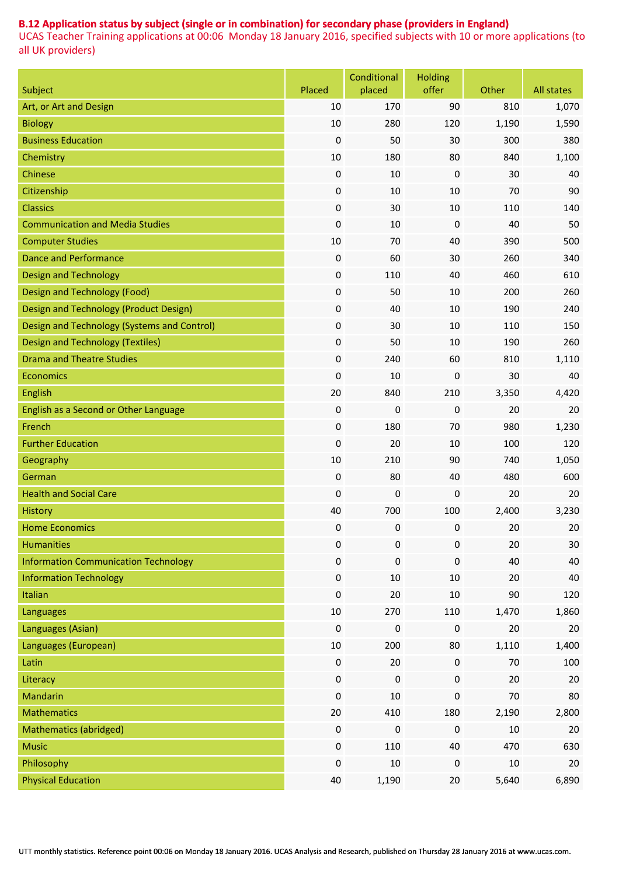## **B.12 Application status by subject (single or in combination) for secondary phase (providers in England)**

| Subject                                     | Placed           | Conditional<br>placed | <b>Holding</b><br>offer | Other  | All states |
|---------------------------------------------|------------------|-----------------------|-------------------------|--------|------------|
| Art, or Art and Design                      | 10               | 170                   | 90                      | 810    | 1,070      |
| <b>Biology</b>                              | 10               | 280                   | 120                     | 1,190  | 1,590      |
| <b>Business Education</b>                   | 0                | 50                    | 30                      | 300    | 380        |
| Chemistry                                   | 10               | 180                   | 80                      | 840    | 1,100      |
| Chinese                                     | $\boldsymbol{0}$ | 10                    | 0                       | 30     | 40         |
| Citizenship                                 | $\boldsymbol{0}$ | 10                    | 10                      | 70     | 90         |
| <b>Classics</b>                             | $\boldsymbol{0}$ | 30                    | 10                      | 110    | 140        |
| <b>Communication and Media Studies</b>      | $\boldsymbol{0}$ | 10                    | $\boldsymbol{0}$        | 40     | 50         |
| <b>Computer Studies</b>                     | 10               | 70                    | 40                      | 390    | 500        |
| <b>Dance and Performance</b>                | $\boldsymbol{0}$ | 60                    | 30                      | 260    | 340        |
| <b>Design and Technology</b>                | $\boldsymbol{0}$ | 110                   | 40                      | 460    | 610        |
| Design and Technology (Food)                | $\boldsymbol{0}$ | 50                    | 10                      | 200    | 260        |
| Design and Technology (Product Design)      | $\boldsymbol{0}$ | 40                    | 10                      | 190    | 240        |
| Design and Technology (Systems and Control) | $\boldsymbol{0}$ | 30                    | 10                      | 110    | 150        |
| <b>Design and Technology (Textiles)</b>     | $\boldsymbol{0}$ | 50                    | 10                      | 190    | 260        |
| <b>Drama and Theatre Studies</b>            | $\boldsymbol{0}$ | 240                   | 60                      | 810    | 1,110      |
| <b>Economics</b>                            | $\pmb{0}$        | 10                    | $\boldsymbol{0}$        | 30     | 40         |
| English                                     | 20               | 840                   | 210                     | 3,350  | 4,420      |
| English as a Second or Other Language       | $\boldsymbol{0}$ | 0                     | 0                       | 20     | 20         |
| French                                      | $\boldsymbol{0}$ | 180                   | 70                      | 980    | 1,230      |
| <b>Further Education</b>                    | $\boldsymbol{0}$ | 20                    | 10                      | 100    | 120        |
| Geography                                   | 10               | 210                   | 90                      | 740    | 1,050      |
| German                                      | $\boldsymbol{0}$ | 80                    | 40                      | 480    | 600        |
| <b>Health and Social Care</b>               | $\boldsymbol{0}$ | 0                     | $\boldsymbol{0}$        | 20     | 20         |
| History                                     | 40               | 700                   | 100                     | 2,400  | 3,230      |
| <b>Home Economics</b>                       | 0                | 0                     | 0                       | 20     | 20         |
| <b>Humanities</b>                           | $\pmb{0}$        | $\pmb{0}$             | 0                       | 20     | 30         |
| <b>Information Communication Technology</b> | $\boldsymbol{0}$ | $\pmb{0}$             | 0                       | 40     | 40         |
| <b>Information Technology</b>               | $\boldsymbol{0}$ | 10                    | 10                      | 20     | 40         |
| Italian                                     | $\boldsymbol{0}$ | 20                    | $10\,$                  | $90\,$ | 120        |
| Languages                                   | $10\,$           | 270                   | 110                     | 1,470  | 1,860      |
| Languages (Asian)                           | $\boldsymbol{0}$ | $\pmb{0}$             | 0                       | 20     | 20         |
| Languages (European)                        | $10\,$           | 200                   | 80                      | 1,110  | 1,400      |
| Latin                                       | $\pmb{0}$        | 20                    | 0                       | 70     | 100        |
| Literacy                                    | $\boldsymbol{0}$ | $\boldsymbol{0}$      | 0                       | 20     | 20         |
| Mandarin                                    | $\boldsymbol{0}$ | 10                    | 0                       | 70     | 80         |
| <b>Mathematics</b>                          | $20\,$           | 410                   | 180                     | 2,190  | 2,800      |
| Mathematics (abridged)                      | $\boldsymbol{0}$ | $\boldsymbol{0}$      | 0                       | $10\,$ | 20         |
| <b>Music</b>                                | $\boldsymbol{0}$ | 110                   | 40                      | 470    | 630        |
| Philosophy                                  | $\boldsymbol{0}$ | 10                    | $\pmb{0}$               | $10\,$ | 20         |
| <b>Physical Education</b>                   | 40               | 1,190                 | $20\,$                  | 5,640  | 6,890      |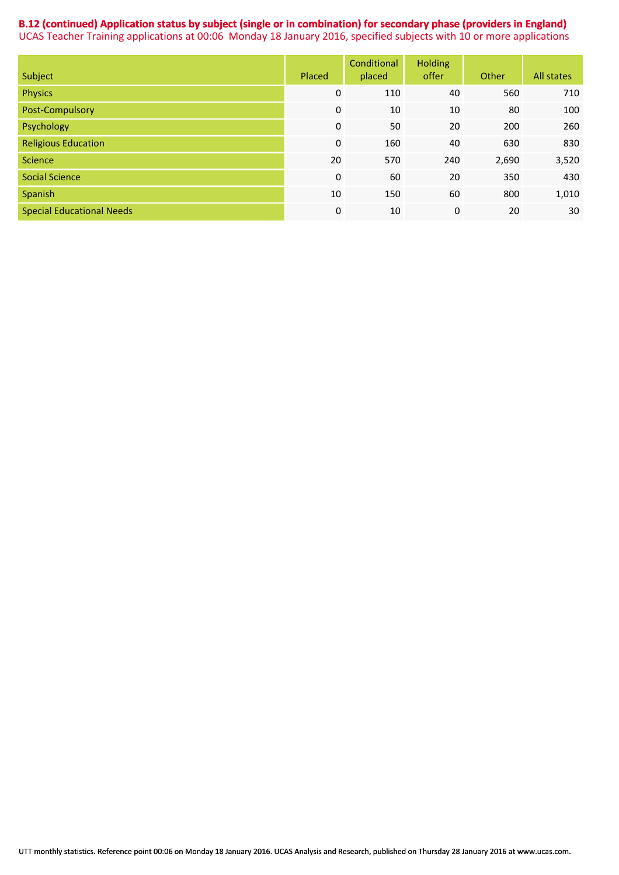### **B.12 (continued) Application status by subject (single or in combination) for secondary phase (providers in England)**  UCAS Teacher Training applications at 00:06 Monday 18 January 2016, specified subjects with 10 or more applications

| Subject                          | Placed      | Conditional<br>placed | <b>Holding</b><br>offer | Other | All states |
|----------------------------------|-------------|-----------------------|-------------------------|-------|------------|
| <b>Physics</b>                   | 0           | 110                   | 40                      | 560   | 710        |
| Post-Compulsory                  | 0           | 10                    | 10                      | 80    | 100        |
| Psychology                       | 0           | 50                    | 20                      | 200   | 260        |
| <b>Religious Education</b>       | $\mathbf 0$ | 160                   | 40                      | 630   | 830        |
| <b>Science</b>                   | 20          | 570                   | 240                     | 2,690 | 3,520      |
| <b>Social Science</b>            | $\mathbf 0$ | 60                    | 20                      | 350   | 430        |
| Spanish                          | 10          | 150                   | 60                      | 800   | 1,010      |
| <b>Special Educational Needs</b> | 0           | 10                    | 0                       | 20    | 30         |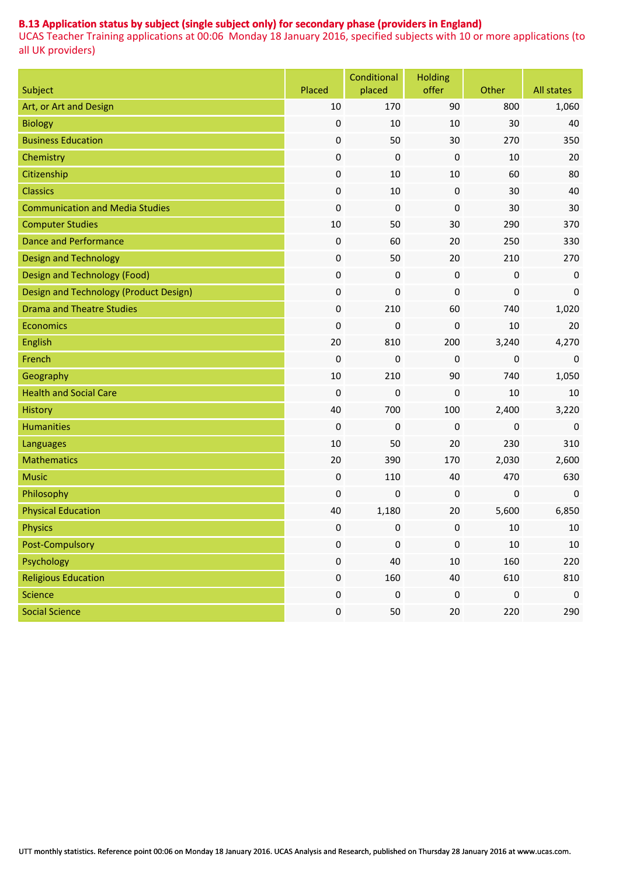### **B.13 Application status by subject (single subject only) for secondary phase (providers in England)**

| Subject                                | Placed           | Conditional<br>placed | <b>Holding</b><br>offer | Other            | All states       |
|----------------------------------------|------------------|-----------------------|-------------------------|------------------|------------------|
| Art, or Art and Design                 | 10               | 170                   | 90                      | 800              | 1,060            |
| <b>Biology</b>                         | $\boldsymbol{0}$ | 10                    | 10                      | 30               | 40               |
| <b>Business Education</b>              | $\boldsymbol{0}$ | 50                    | 30                      | 270              | 350              |
| Chemistry                              | $\boldsymbol{0}$ | 0                     | 0                       | 10               | 20               |
| Citizenship                            | $\boldsymbol{0}$ | 10                    | 10                      | 60               | 80               |
| <b>Classics</b>                        | $\boldsymbol{0}$ | 10                    | $\pmb{0}$               | 30               | 40               |
| <b>Communication and Media Studies</b> | $\boldsymbol{0}$ | $\boldsymbol{0}$      | 0                       | 30               | 30               |
| <b>Computer Studies</b>                | 10               | 50                    | 30                      | 290              | 370              |
| <b>Dance and Performance</b>           | $\boldsymbol{0}$ | 60                    | 20                      | 250              | 330              |
| <b>Design and Technology</b>           | $\boldsymbol{0}$ | 50                    | 20                      | 210              | 270              |
| <b>Design and Technology (Food)</b>    | $\boldsymbol{0}$ | $\pmb{0}$             | 0                       | $\boldsymbol{0}$ | $\mathbf 0$      |
| Design and Technology (Product Design) | $\boldsymbol{0}$ | 0                     | 0                       | $\pmb{0}$        | 0                |
| <b>Drama and Theatre Studies</b>       | $\boldsymbol{0}$ | 210                   | 60                      | 740              | 1,020            |
| Economics                              | $\boldsymbol{0}$ | 0                     | 0                       | 10               | 20               |
| English                                | 20               | 810                   | 200                     | 3,240            | 4,270            |
| French                                 | $\boldsymbol{0}$ | $\boldsymbol{0}$      | $\boldsymbol{0}$        | 0                | $\mathbf 0$      |
| Geography                              | 10               | 210                   | 90                      | 740              | 1,050            |
| <b>Health and Social Care</b>          | 0                | $\boldsymbol{0}$      | 0                       | 10               | 10               |
| <b>History</b>                         | 40               | 700                   | 100                     | 2,400            | 3,220            |
| <b>Humanities</b>                      | $\boldsymbol{0}$ | 0                     | $\boldsymbol{0}$        | 0                | $\mathbf 0$      |
| Languages                              | 10               | 50                    | 20                      | 230              | 310              |
| <b>Mathematics</b>                     | 20               | 390                   | 170                     | 2,030            | 2,600            |
| <b>Music</b>                           | $\boldsymbol{0}$ | 110                   | 40                      | 470              | 630              |
| Philosophy                             | $\boldsymbol{0}$ | 0                     | 0                       | 0                | $\mathbf 0$      |
| <b>Physical Education</b>              | 40               | 1,180                 | 20                      | 5,600            | 6,850            |
| <b>Physics</b>                         | $\boldsymbol{0}$ | $\boldsymbol{0}$      | 0                       | 10               | 10               |
| Post-Compulsory                        | $\boldsymbol{0}$ | $\pmb{0}$             | 0                       | $10\,$           | $10\,$           |
| Psychology                             | $\boldsymbol{0}$ | 40                    | $10\,$                  | 160              | 220              |
| <b>Religious Education</b>             | 0                | 160                   | 40                      | 610              | 810              |
| <b>Science</b>                         | $\pmb{0}$        | $\pmb{0}$             | $\pmb{0}$               | $\pmb{0}$        | $\boldsymbol{0}$ |
| <b>Social Science</b>                  | $\pmb{0}$        | 50                    | 20                      | 220              | 290              |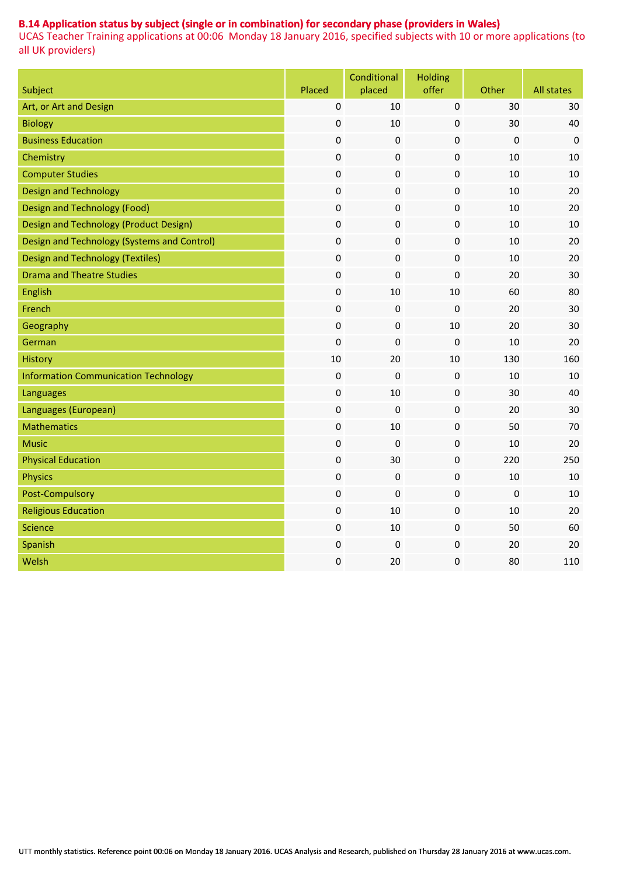### **B.14 Application status by subject (single or in combination) for secondary phase (providers in Wales)**

|                                             |                  | Conditional      | <b>Holding</b> |             |             |
|---------------------------------------------|------------------|------------------|----------------|-------------|-------------|
| Subject                                     | Placed           | placed           | offer          | Other       | All states  |
| Art, or Art and Design                      | $\mathbf 0$      | 10               | $\pmb{0}$      | 30          | 30          |
| <b>Biology</b>                              | $\boldsymbol{0}$ | 10               | 0              | 30          | 40          |
| <b>Business Education</b>                   | $\boldsymbol{0}$ | $\boldsymbol{0}$ | $\pmb{0}$      | $\mathbf 0$ | $\mathbf 0$ |
| Chemistry                                   | $\boldsymbol{0}$ | 0                | 0              | 10          | 10          |
| <b>Computer Studies</b>                     | $\pmb{0}$        | $\boldsymbol{0}$ | 0              | 10          | 10          |
| <b>Design and Technology</b>                | $\pmb{0}$        | 0                | 0              | 10          | 20          |
| <b>Design and Technology (Food)</b>         | $\boldsymbol{0}$ | $\boldsymbol{0}$ | $\pmb{0}$      | 10          | 20          |
| Design and Technology (Product Design)      | $\pmb{0}$        | 0                | 0              | 10          | 10          |
| Design and Technology (Systems and Control) | $\mathbf 0$      | $\boldsymbol{0}$ | 0              | 10          | 20          |
| <b>Design and Technology (Textiles)</b>     | $\pmb{0}$        | 0                | 0              | $10\,$      | 20          |
| <b>Drama and Theatre Studies</b>            | $\boldsymbol{0}$ | $\boldsymbol{0}$ | $\pmb{0}$      | 20          | 30          |
| English                                     | $\pmb{0}$        | 10               | $10\,$         | 60          | 80          |
| French                                      | $\pmb{0}$        | 0                | $\pmb{0}$      | 20          | 30          |
| Geography                                   | $\pmb{0}$        | $\boldsymbol{0}$ | $10\,$         | 20          | 30          |
| German                                      | $\boldsymbol{0}$ | $\boldsymbol{0}$ | $\pmb{0}$      | 10          | 20          |
| <b>History</b>                              | 10               | 20               | $10\,$         | 130         | 160         |
| <b>Information Communication Technology</b> | $\pmb{0}$        | 0                | 0              | 10          | 10          |
| Languages                                   | $\pmb{0}$        | 10               | 0              | 30          | 40          |
| Languages (European)                        | $\boldsymbol{0}$ | 0                | 0              | 20          | 30          |
| <b>Mathematics</b>                          | $\pmb{0}$        | 10               | 0              | 50          | 70          |
| <b>Music</b>                                | $\boldsymbol{0}$ | 0                | 0              | 10          | 20          |
| <b>Physical Education</b>                   | $\boldsymbol{0}$ | 30               | 0              | 220         | 250         |
| <b>Physics</b>                              | $\boldsymbol{0}$ | 0                | 0              | 10          | 10          |
| Post-Compulsory                             | $\boldsymbol{0}$ | 0                | 0              | $\mathbf 0$ | 10          |
| <b>Religious Education</b>                  | $\pmb{0}$        | 10               | 0              | 10          | 20          |
| <b>Science</b>                              | $\pmb{0}$        | 10               | 0              | 50          | 60          |
| Spanish                                     | $\pmb{0}$        | 0                | 0              | 20          | 20          |
| Welsh                                       | $\pmb{0}$        | 20               | 0              | 80          | 110         |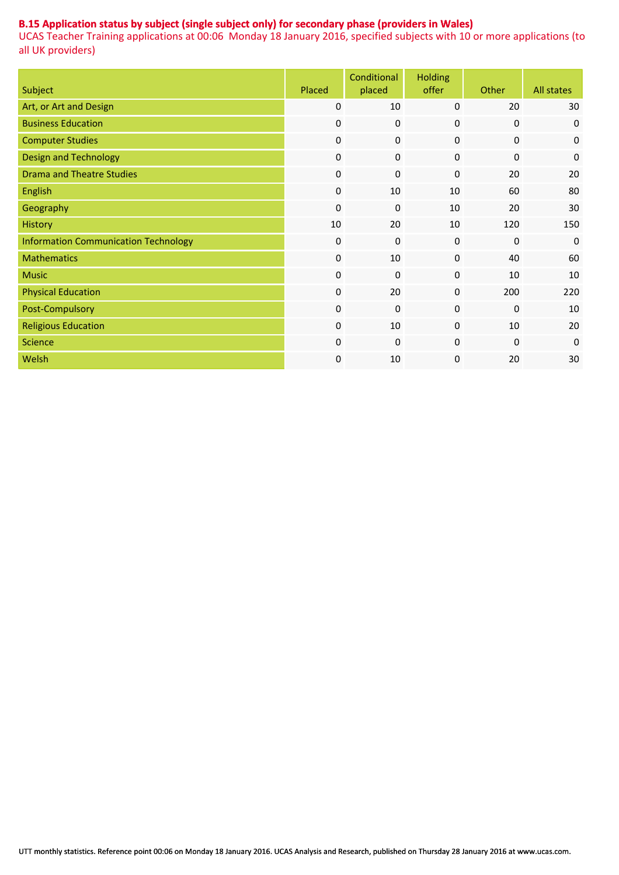### **B.15 Application status by subject (single subject only) for secondary phase (providers in Wales)**

| Subject                                     | Placed           | Conditional<br>placed | <b>Holding</b><br>offer | Other            | <b>All states</b> |
|---------------------------------------------|------------------|-----------------------|-------------------------|------------------|-------------------|
| Art, or Art and Design                      | 0                | 10                    | $\mathbf{0}$            | 20               | 30                |
| <b>Business Education</b>                   | $\mathbf 0$      | $\mathbf 0$           | $\mathbf 0$             | $\mathbf 0$      | $\mathbf 0$       |
| <b>Computer Studies</b>                     | $\boldsymbol{0}$ | $\pmb{0}$             | $\pmb{0}$               | $\boldsymbol{0}$ | $\boldsymbol{0}$  |
| <b>Design and Technology</b>                | $\boldsymbol{0}$ | $\pmb{0}$             | 0                       | $\mathbf 0$      | $\mathbf 0$       |
| <b>Drama and Theatre Studies</b>            | $\boldsymbol{0}$ | $\pmb{0}$             | $\mathbf 0$             | 20               | 20                |
| English                                     | $\boldsymbol{0}$ | 10                    | 10                      | 60               | 80                |
| Geography                                   | $\boldsymbol{0}$ | $\mathbf 0$           | 10                      | 20               | 30                |
| <b>History</b>                              | 10               | 20                    | 10                      | 120              | 150               |
| <b>Information Communication Technology</b> | $\boldsymbol{0}$ | $\pmb{0}$             | 0                       | $\mathbf 0$      | $\mathbf 0$       |
| <b>Mathematics</b>                          | $\boldsymbol{0}$ | 10                    | 0                       | 40               | 60                |
| <b>Music</b>                                | $\boldsymbol{0}$ | 0                     | 0                       | 10               | 10                |
| <b>Physical Education</b>                   | $\boldsymbol{0}$ | 20                    | 0                       | 200              | 220               |
| Post-Compulsory                             | $\boldsymbol{0}$ | $\mathbf 0$           | $\pmb{0}$               | $\mathbf 0$      | 10                |
| <b>Religious Education</b>                  | $\boldsymbol{0}$ | 10                    | 0                       | 10               | 20                |
| <b>Science</b>                              | $\boldsymbol{0}$ | $\boldsymbol{0}$      | $\mathbf{0}$            | $\mathbf{0}$     | $\mathbf 0$       |
| Welsh                                       | $\boldsymbol{0}$ | 10                    | 0                       | 20               | 30                |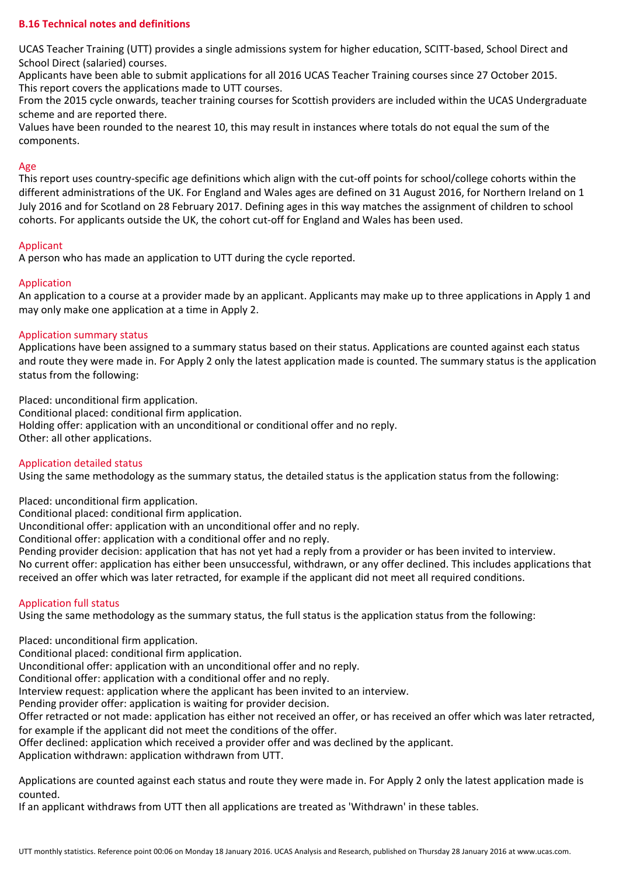### **B.16 Technical notes and definitions**

UCAS Teacher Training (UTT) provides a single admissions system for higher education, SCITT-based, School Direct and School Direct (salaried) courses.

Applicants have been able to submit applications for all 2016 UCAS Teacher Training courses since 27 October 2015. This report covers the applications made to UTT courses.

From the 2015 cycle onwards, teacher training courses for Scottish providers are included within the UCAS Undergraduate scheme and are reported there.

Values have been rounded to the nearest 10, this may result in instances where totals do not equal the sum of the components.

#### Age

This report uses country-specific age definitions which align with the cut-off points for school/college cohorts within the different administrations of the UK. For England and Wales ages are defined on 31 August 2016, for Northern Ireland on 1 July 2016 and for Scotland on 28 February 2017. Defining ages in this way matches the assignment of children to school cohorts. For applicants outside the UK, the cohort cut-off for England and Wales has been used.

#### Applicant

A person who has made an application to UTT during the cycle reported.

### Application

An application to a course at a provider made by an applicant. Applicants may make up to three applications in Apply 1 and may only make one application at a time in Apply 2.

#### Application summary status

Applications have been assigned to a summary status based on their status. Applications are counted against each status and route they were made in. For Apply 2 only the latest application made is counted. The summary status is the application status from the following:

Placed: unconditional firm application. Conditional placed: conditional firm application. Holding offer: application with an unconditional or conditional offer and no reply. Other: all other applications.

#### Application detailed status

Using the same methodology as the summary status, the detailed status is the application status from the following:

Placed: unconditional firm application.

Conditional placed: conditional firm application.

Unconditional offer: application with an unconditional offer and no reply.

Conditional offer: application with a conditional offer and no reply.

Pending provider decision: application that has not yet had a reply from a provider or has been invited to interview.

No current offer: application has either been unsuccessful, withdrawn, or any offer declined. This includes applications that received an offer which was later retracted, for example if the applicant did not meet all required conditions.

### Application full status

Using the same methodology as the summary status, the full status is the application status from the following:

Placed: unconditional firm application.

Conditional placed: conditional firm application.

Unconditional offer: application with an unconditional offer and no reply.

Conditional offer: application with a conditional offer and no reply.

Interview request: application where the applicant has been invited to an interview.

Pending provider offer: application is waiting for provider decision.

Offer retracted or not made: application has either not received an offer, or has received an offer which was later retracted, for example if the applicant did not meet the conditions of the offer.

Offer declined: application which received a provider offer and was declined by the applicant.

Application withdrawn: application withdrawn from UTT.

Applications are counted against each status and route they were made in. For Apply 2 only the latest application made is counted.

If an applicant withdraws from UTT then all applications are treated as 'Withdrawn' in these tables.